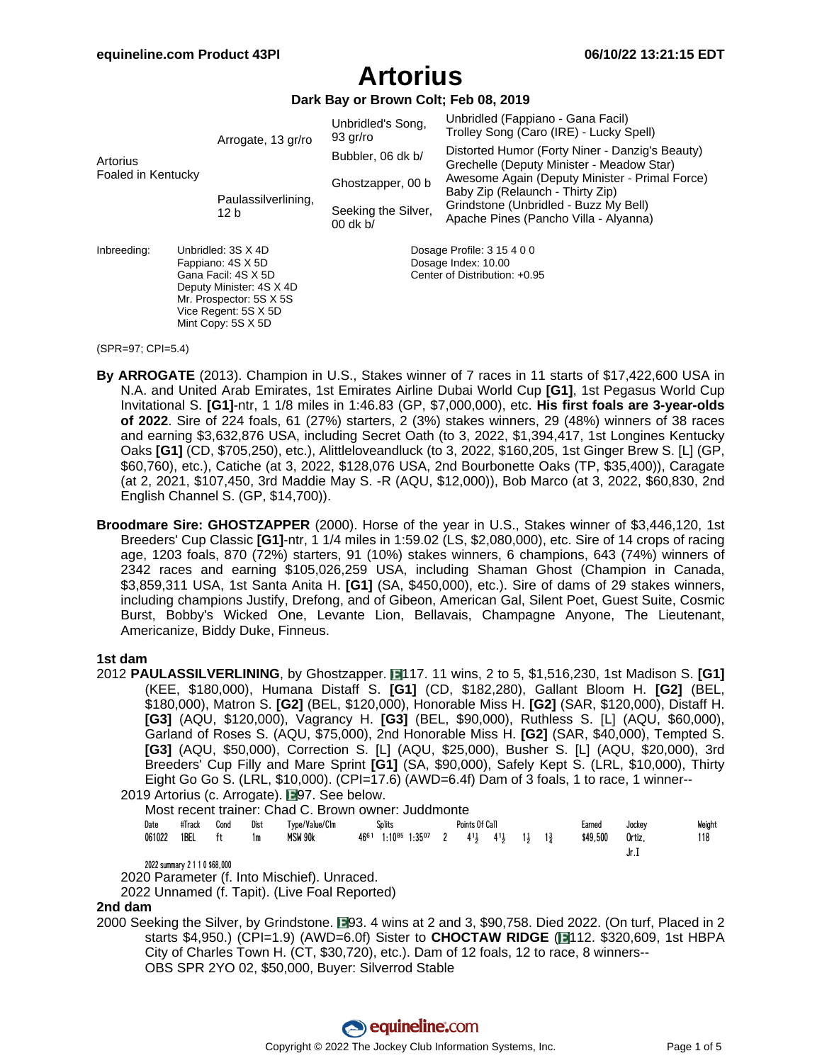**Dark Bay or Brown Colt; Feb 08, 2019**

|                    |  | Arrogate, 13 gr/ro                                                                                                                            | Unbridled's Song,<br>93 gr/ro                        | Unbridled (Fappiano - Gana Facil)<br>Trolley Song (Caro (IRE) - Lucky Spell)                 |  |  |  |  |  |
|--------------------|--|-----------------------------------------------------------------------------------------------------------------------------------------------|------------------------------------------------------|----------------------------------------------------------------------------------------------|--|--|--|--|--|
| Artorius           |  |                                                                                                                                               | Bubbler, 06 dk b/                                    | Distorted Humor (Forty Niner - Danzig's Beauty)<br>Grechelle (Deputy Minister - Meadow Star) |  |  |  |  |  |
| Foaled in Kentucky |  |                                                                                                                                               | Ghostzapper, 00 b                                    | Awesome Again (Deputy Minister - Primal Force)<br>Baby Zip (Relaunch - Thirty Zip)           |  |  |  |  |  |
|                    |  | Paulassilverlining,<br>12 b                                                                                                                   | Seeking the Silver,<br>$00$ dk b/                    | Grindstone (Unbridled - Buzz My Bell)<br>Apache Pines (Pancho Villa - Alyanna)               |  |  |  |  |  |
| Inbreeding:        |  | Unbridled: 3S X 4D                                                                                                                            | Dosage Profile: 3 15 4 0 0                           |                                                                                              |  |  |  |  |  |
|                    |  | Fappiano: 4S X 5D<br>Gana Facil: 4S X 5D<br>Deputy Minister: 4S X 4D<br>Mr. Prospector: 5S X 5S<br>Vice Regent: 5S X 5D<br>Mint Copy: 5S X 5D | Dosage Index: 10.00<br>Center of Distribution: +0.95 |                                                                                              |  |  |  |  |  |

#### (SPR=97; CPI=5.4)

- **By ARROGATE** (2013). Champion in U.S., Stakes winner of 7 races in 11 starts of \$17,422,600 USA in N.A. and United Arab Emirates, 1st Emirates Airline Dubai World Cup **[G1]**, 1st Pegasus World Cup Invitational S. **[G1]**-ntr, 1 1/8 miles in 1:46.83 (GP, \$7,000,000), etc. **His first foals are 3-year-olds of 2022**. Sire of 224 foals, 61 (27%) starters, 2 (3%) stakes winners, 29 (48%) winners of 38 races and earning \$3,632,876 USA, including Secret Oath (to 3, 2022, \$1,394,417, 1st Longines Kentucky Oaks **[G1]** (CD, \$705,250), etc.), Alittleloveandluck (to 3, 2022, \$160,205, 1st Ginger Brew S. [L] (GP, \$60,760), etc.), Catiche (at 3, 2022, \$128,076 USA, 2nd Bourbonette Oaks (TP, \$35,400)), Caragate (at 2, 2021, \$107,450, 3rd Maddie May S. -R (AQU, \$12,000)), Bob Marco (at 3, 2022, \$60,830, 2nd English Channel S. (GP, \$14,700)).
- **Broodmare Sire: GHOSTZAPPER** (2000). Horse of the year in U.S., Stakes winner of \$3,446,120, 1st Breeders' Cup Classic **[G1]**-ntr, 1 1/4 miles in 1:59.02 (LS, \$2,080,000), etc. Sire of 14 crops of racing age, 1203 foals, 870 (72%) starters, 91 (10%) stakes winners, 6 champions, 643 (74%) winners of 2342 races and earning \$105,026,259 USA, including Shaman Ghost (Champion in Canada, \$3,859,311 USA, 1st Santa Anita H. **[G1]** (SA, \$450,000), etc.). Sire of dams of 29 stakes winners, including champions Justify, Drefong, and of Gibeon, American Gal, Silent Poet, Guest Suite, Cosmic Burst, Bobby's Wicked One, Levante Lion, Bellavais, Champagne Anyone, The Lieutenant, Americanize, Biddy Duke, Finneus.

#### **1st dam**

2012 **PAULASSILVERLINING**, by Ghostzapper. 117. 11 wins, 2 to 5, \$1,516,230, 1st Madison S. **[G1]** (KEE, \$180,000), Humana Distaff S. **[G1]** (CD, \$182,280), Gallant Bloom H. **[G2]** (BEL, \$180,000), Matron S. **[G2]** (BEL, \$120,000), Honorable Miss H. **[G2]** (SAR, \$120,000), Distaff H. **[G3]** (AQU, \$120,000), Vagrancy H. **[G3]** (BEL, \$90,000), Ruthless S. [L] (AQU, \$60,000), Garland of Roses S. (AQU, \$75,000), 2nd Honorable Miss H. **[G2]** (SAR, \$40,000), Tempted S. **[G3]** (AQU, \$50,000), Correction S. [L] (AQU, \$25,000), Busher S. [L] (AQU, \$20,000), 3rd Breeders' Cup Filly and Mare Sprint **[G1]** (SA, \$90,000), Safely Kept S. (LRL, \$10,000), Thirty Eight Go Go S. (LRL, \$10,000). (CPI=17.6) (AWD=6.4f) Dam of 3 foals, 1 to race, 1 winner--

2019 Artorius (c. Arrogate). **■**97. See below.

|      |        |      |       | Most recent trainer: Chad C. Brown owner: Juddmonte |           |                                |  |
|------|--------|------|-------|-----------------------------------------------------|-----------|--------------------------------|--|
| n∿to | #Track | Cond | Dict. | $T_{VDA}/V_2$ $n_e/R_m$                             | $Cn$ lite | $D_{\text{o}}$ inte Of $C_{2}$ |  |

| Date   | #Track | Cond | Dist | Type/Value/Clm      | <b>Splits</b> |  |  | Points Of Call |                                                                    |  |                               | Earned   | Jockey | Weight |
|--------|--------|------|------|---------------------|---------------|--|--|----------------|--------------------------------------------------------------------|--|-------------------------------|----------|--------|--------|
| 061022 | 1BEL   | ft   | 1m   | MSW 90 <sub>k</sub> | 4661          |  |  |                | $1:10^{85}$ 1:35 <sup>07</sup> 2 4 <sup>1</sup> 3 4 <sup>1</sup> 3 |  | $1\frac{1}{2}$ $1\frac{3}{4}$ | \$49.500 | Ortiz. | 118    |
|        |        |      |      |                     |               |  |  |                |                                                                    |  |                               |          | JI.I   |        |

2022 summary 2 1 1 0 \$68,000

2020 Parameter (f. Into Mischief). Unraced.

2022 Unnamed (f. Tapit). (Live Foal Reported)

#### **2nd dam**

2000 Seeking the Silver, by Grindstone. 193. 4 wins at 2 and 3, \$90,758. Died 2022. (On turf, Placed in 2 starts \$4,950.) (CPI=1.9) (AWD=6.0f) Sister to **CHOCTAW RIDGE** ( 112. \$320,609, 1st HBPA City of Charles Town H. (CT, \$30,720), etc.). Dam of 12 foals, 12 to race, 8 winners-- OBS SPR 2YO 02, \$50,000, Buyer: Silverrod Stable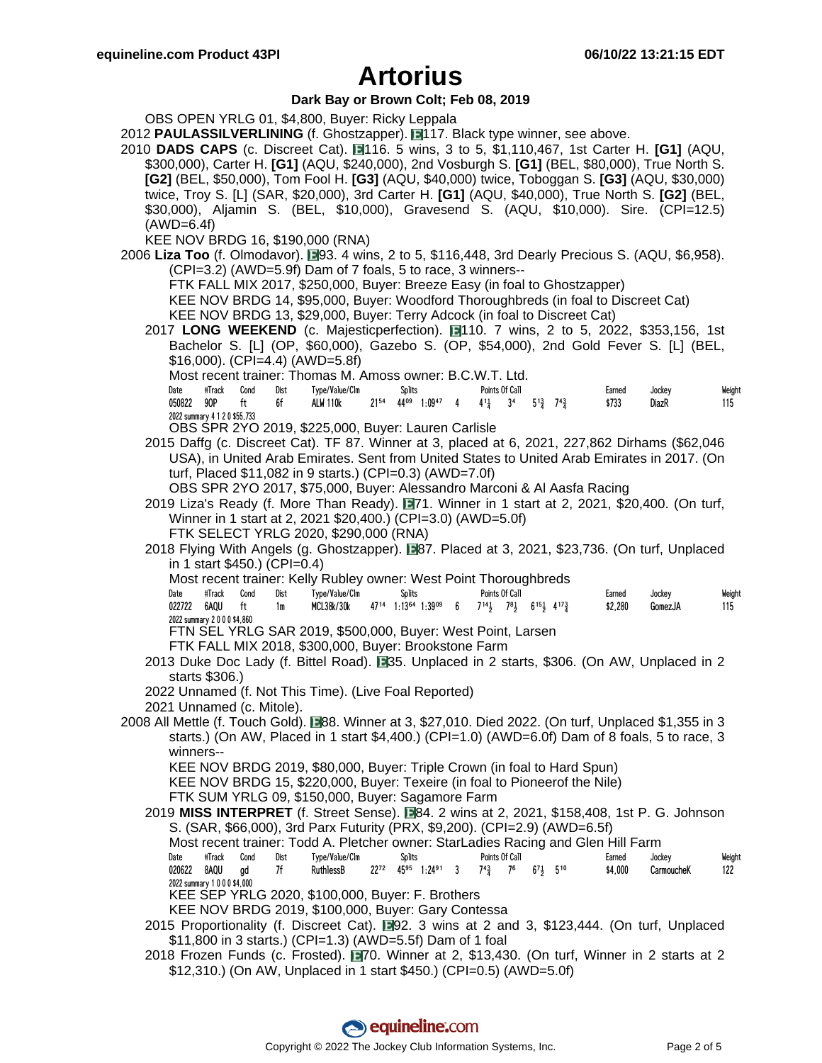### **Dark Bay or Brown Colt; Feb 08, 2019**

OBS OPEN YRLG 01, \$4,800, Buyer: Ricky Leppala

- 2012 **PAULASSILVERLINING** (f. Ghostzapper). 117. Black type winner, see above.
- 2010 **DADS CAPS** (c. Discreet Cat). 116. 5 wins, 3 to 5, \$1,110,467, 1st Carter H. **[G1]** (AQU, \$300,000), Carter H. **[G1]** (AQU, \$240,000), 2nd Vosburgh S. **[G1]** (BEL, \$80,000), True North S. **[G2]** (BEL, \$50,000), Tom Fool H. **[G3]** (AQU, \$40,000) twice, Toboggan S. **[G3]** (AQU, \$30,000) twice, Troy S. [L] (SAR, \$20,000), 3rd Carter H. **[G1]** (AQU, \$40,000), True North S. **[G2]** (BEL, \$30,000), Aljamin S. (BEL, \$10,000), Gravesend S. (AQU, \$10,000). Sire. (CPI=12.5) (AWD=6.4f)
	- KEE NOV BRDG 16, \$190,000 (RNA)
- 2006 Liza Too (f. Olmodavor). **193. 4 wins, 2 to 5, \$116,448, 3rd Dearly Precious S. (AQU, \$6,958).** (CPI=3.2) (AWD=5.9f) Dam of 7 foals, 5 to race, 3 winners--
	- FTK FALL MIX 2017, \$250,000, Buyer: Breeze Easy (in foal to Ghostzapper)
	- KEE NOV BRDG 14, \$95,000, Buyer: Woodford Thoroughbreds (in foal to Discreet Cat)
	- KEE NOV BRDG 13, \$29,000, Buyer: Terry Adcock (in foal to Discreet Cat)
	- 2017 LONG WEEKEND (c. Majesticperfection). 110. 7 wins, 2 to 5, 2022, \$353,156, 1st Bachelor S. [L] (OP, \$60,000), Gazebo S. (OP, \$54,000), 2nd Gold Fever S. [L] (BEL, \$16,000). (CPI=4.4) (AWD=5.8f)
		- Most recent trainer: Thomas M. Amoss owner: B.C.W.T. Ltd.

| Date   | #Track                        | Cond | Dist | Type/Value/Clm        |      | <b>Splits</b> |        |                                                                                                                      | Points Of Call |  |       | Earned | Jockev | Weight |
|--------|-------------------------------|------|------|-----------------------|------|---------------|--------|----------------------------------------------------------------------------------------------------------------------|----------------|--|-------|--------|--------|--------|
| 050822 | 90P ft                        |      | 6f   | <b>ALW 110k</b>       | 2154 |               |        | $44^{09}$ 1:09 <sup>47</sup> 4 $4^{11}$ 3 <sup>4</sup> 5 <sup>13</sup> / <sub>3</sub> 7 <sup>43</sup> / <sub>3</sub> |                |  | \$733 |        | DiazR  | 115    |
|        | 2022 summary 4 1 2 0 \$55,733 |      |      | --------------------- |      |               | $\sim$ | .                                                                                                                    |                |  |       |        |        |        |

- OBS SPR 2YO 2019, \$225,000, Buyer: Lauren Carlisle
- 2015 Daffg (c. Discreet Cat). TF 87. Winner at 3, placed at 6, 2021, 227,862 Dirhams (\$62,046 USA), in United Arab Emirates. Sent from United States to United Arab Emirates in 2017. (On turf, Placed \$11,082 in 9 starts.) (CPI=0.3) (AWD=7.0f)
	- OBS SPR 2YO 2017, \$75,000, Buyer: Alessandro Marconi & Al Aasfa Racing
- 2019 Liza's Ready (f. More Than Ready). 171. Winner in 1 start at 2, 2021, \$20,400. (On turf, Winner in 1 start at 2, 2021 \$20,400.) (CPI=3.0) (AWD=5.0f)
	- FTK SELECT YRLG 2020, \$290,000 (RNA)
- 2018 Flying With Angels (g. Ghostzapper). **1287.** Placed at 3, 2021, \$23,736. (On turf, Unplaced in 1 start \$450.) (CPI=0.4)
	- Most recent trainer: Kelly Rubley owner: West Point Thoroughbreds

| Date                     | #Track | Cond | Dist | Type/Value/Clm                                  |      | Splits                     | Points Of Call |                                                | Larned  | Jockey  | Weight |
|--------------------------|--------|------|------|-------------------------------------------------|------|----------------------------|----------------|------------------------------------------------|---------|---------|--------|
| 022722                   | 6AOU   |      | 1m   | <b>MCL38k/30k</b>                               | 4714 | $1:13^{64}$<br>$1:39^{09}$ |                | $6$ $7^{14}$ , $7^{8}$ , $6^{15}$ , $4^{17}$ , | \$2,280 | GomezJA |        |
| 2022 summary 2000\$4,860 |        |      |      |                                                 |      |                            |                |                                                |         |         |        |
| FTNI OFI                 |        |      |      | VDLC CAD 2010 CE00.000 Duysti Woot Doint Loroon |      |                            |                |                                                |         |         |        |

FTN SEL YRLG SAR 2019, \$500,000, Buyer: West Point, Larsen

- FTK FALL MIX 2018, \$300,000, Buyer: Brookstone Farm
- 2013 Duke Doc Lady (f. Bittel Road).  $\Box$ 35. Unplaced in 2 starts, \$306. (On AW, Unplaced in 2 starts \$306.)
- 2022 Unnamed (f. Not This Time). (Live Foal Reported)
- 2021 Unnamed (c. Mitole).
- 2008 All Mettle (f. Touch Gold). 88. Winner at 3, \$27,010. Died 2022. (On turf, Unplaced \$1,355 in 3 starts.) (On AW, Placed in 1 start \$4,400.) (CPI=1.0) (AWD=6.0f) Dam of 8 foals, 5 to race, 3 winners--

KEE NOV BRDG 2019, \$80,000, Buyer: Triple Crown (in foal to Hard Spun)

- KEE NOV BRDG 15, \$220,000, Buyer: Texeire (in foal to Pioneerof the Nile)
- FTK SUM YRLG 09, \$150,000, Buyer: Sagamore Farm
- 2019 **MISS INTERPRET** (f. Street Sense). 84. 2 wins at 2, 2021, \$158,408, 1st P. G. Johnson S. (SAR, \$66,000), 3rd Parx Futurity (PRX, \$9,200). (CPI=2.9) (AWD=6.5f)
	- Most recent trainer: Todd A. Pletcher owner: StarLadies Racing and Glen Hill Farm
	- Date #Track Cond Dist Type/Value/Clm Splits Points Of Call Sarned Jockey Weight 020622 8AQU gd 7f RuthlessB 22<sup>72</sup> 45<sup>95</sup> 1:24<sup>91</sup> 3 7<sup>4</sup> $\frac{3}{4}$  7<sup>6</sup> 6<sup>7</sup> $\frac{1}{2}$  5<sup>10</sup> \$4,000 CarmoucheK 122 2022 summary 1 0 0 0 \$4,000
	- KEE SEP YRLG 2020, \$100,000, Buyer: F. Brothers
	- KEE NOV BRDG 2019, \$100,000, Buyer: Gary Contessa
- 2015 Proportionality (f. Discreet Cat).  $\Box$ 92. 3 wins at 2 and 3, \$123,444. (On turf, Unplaced \$11,800 in 3 starts.) (CPI=1.3) (AWD=5.5f) Dam of 1 foal
- 2018 Frozen Funds (c. Frosted). 170. Winner at 2, \$13,430. (On turf, Winner in 2 starts at 2 \$12,310.) (On AW, Unplaced in 1 start \$450.) (CPI=0.5) (AWD=5.0f)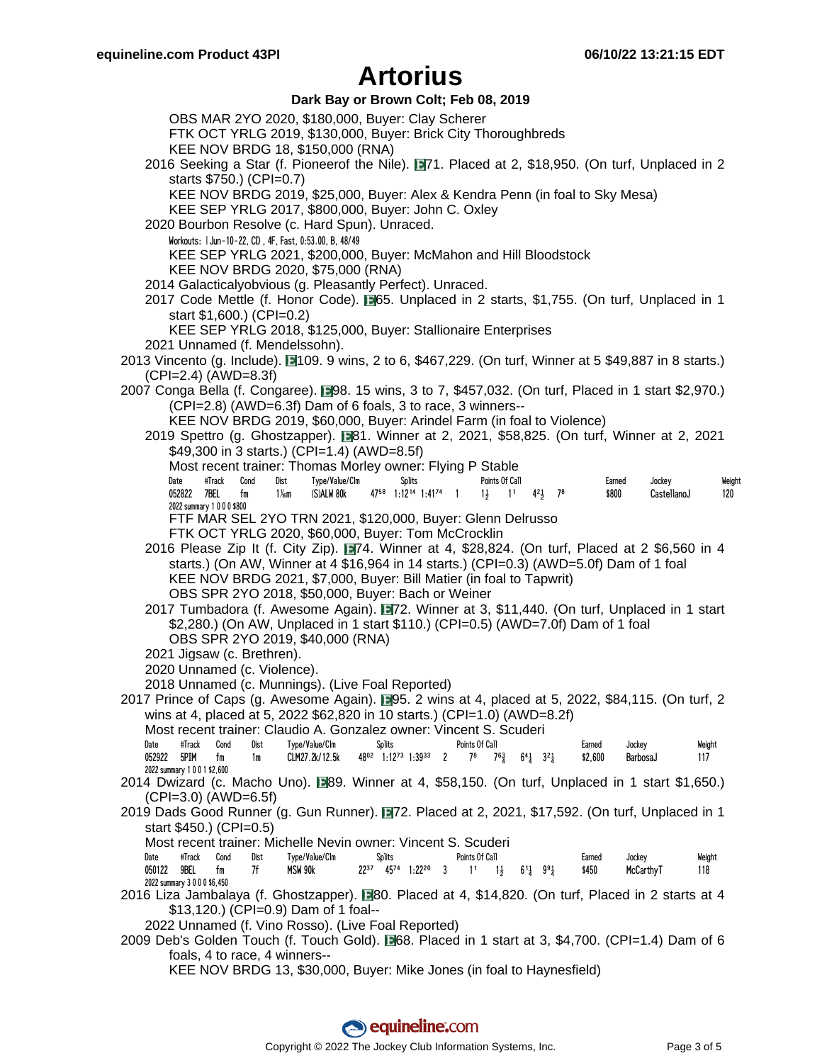### **Dark Bay or Brown Colt; Feb 08, 2019**

OBS MAR 2YO 2020, \$180,000, Buyer: Clay Scherer FTK OCT YRLG 2019, \$130,000, Buyer: Brick City Thoroughbreds KEE NOV BRDG 18, \$150,000 (RNA) 2016 Seeking a Star (f. Pioneerof the Nile). 71. Placed at 2, \$18,950. (On turf, Unplaced in 2 starts \$750.) (CPI=0.7) KEE NOV BRDG 2019, \$25,000, Buyer: Alex & Kendra Penn (in foal to Sky Mesa) KEE SEP YRLG 2017, \$800,000, Buyer: John C. Oxley 2020 Bourbon Resolve (c. Hard Spun). Unraced. Workouts: | Jun-10-22, CD , 4F, Fast, 0:53.00, B, 48/49 KEE SEP YRLG 2021, \$200,000, Buyer: McMahon and Hill Bloodstock KEE NOV BRDG 2020, \$75,000 (RNA) 2014 Galacticalyobvious (g. Pleasantly Perfect). Unraced. 2017 Code Mettle (f. Honor Code).  $\Box$ 65. Unplaced in 2 starts, \$1,755. (On turf, Unplaced in 1 start \$1,600.) (CPI=0.2) KEE SEP YRLG 2018, \$125,000, Buyer: Stallionaire Enterprises 2021 Unnamed (f. Mendelssohn). 2013 Vincento (g. Include). 109. 9 wins, 2 to 6, \$467,229. (On turf, Winner at 5 \$49,887 in 8 starts.) (CPI=2.4) (AWD=8.3f) 2007 Conga Bella (f. Congaree). 298. 15 wins, 3 to 7, \$457,032. (On turf, Placed in 1 start \$2,970.) (CPI=2.8) (AWD=6.3f) Dam of 6 foals, 3 to race, 3 winners-- KEE NOV BRDG 2019, \$60,000, Buyer: Arindel Farm (in foal to Violence) 2019 Spettro (g. Ghostzapper). 81. Winner at 2, 2021, \$58,825. (On turf, Winner at 2, 2021 \$49,300 in 3 starts.) (CPI=1.4) (AWD=8.5f) Most recent trainer: Thomas Morley owner: Flying P Stable Date #Track Cond Dist Type/Value/Clm Splits Points Of Call Earned Jockey Weight 052822 7BEL fm 11%m (S)ALW 80k 47<sup>58</sup> 1:12<sup>14</sup> 1:41<sup>74</sup> 1 14 14<sup>2</sup> 1<sup>8</sup> \$800 CastellanoJ 120 2022 summary 1 0 0 0 \$800 FTF MAR SEL 2YO TRN 2021, \$120,000, Buyer: Glenn Delrusso FTK OCT YRLG 2020, \$60,000, Buyer: Tom McCrocklin 2016 Please Zip It (f. City Zip).  $\blacksquare$ 74. Winner at 4, \$28,824. (On turf, Placed at 2 \$6,560 in 4 starts.) (On AW, Winner at 4 \$16,964 in 14 starts.) (CPI=0.3) (AWD=5.0f) Dam of 1 foal KEE NOV BRDG 2021, \$7,000, Buyer: Bill Matier (in foal to Tapwrit) OBS SPR 2YO 2018, \$50,000, Buyer: Bach or Weiner 2017 Tumbadora (f. Awesome Again). 72. Winner at 3, \$11,440. (On turf, Unplaced in 1 start \$2,280.) (On AW, Unplaced in 1 start \$110.) (CPI=0.5) (AWD=7.0f) Dam of 1 foal OBS SPR 2YO 2019, \$40,000 (RNA) 2021 Jigsaw (c. Brethren). 2020 Unnamed (c. Violence). 2018 Unnamed (c. Munnings). (Live Foal Reported) 2017 Prince of Caps (g. Awesome Again). ■95. 2 wins at 4, placed at 5, 2022, \$84,115. (On turf, 2 wins at 4, placed at 5, 2022 \$62,820 in 10 starts.) (CPI=1.0) (AWD=8.2f) Most recent trainer: Claudio A. Gonzalez owner: Vincent S. Scuderi Date #Track Cond Dist Type/Value/Clm Splits Points Of Call Earned Jockey Weight 052922 5PIM fm 1m CLM27.2k/12.5k 48<sup>o2</sup> 1:12<sup>73</sup> 1:39<sup>33</sup> 2 7<sup>8</sup> 7<sup>6</sup><sup>3</sup> 6<sup>4</sup> 3<sup>2</sup> \$2,600 BarbosaJ 117 2022 summary 1 0 0 1 \$2,600 2014 Dwizard (c. Macho Uno). 89. Winner at 4, \$58,150. (On turf, Unplaced in 1 start \$1,650.) (CPI=3.0) (AWD=6.5f) 2019 Dads Good Runner (g. Gun Runner). 72. Placed at 2, 2021, \$17,592. (On turf, Unplaced in 1 start \$450.) (CPI=0.5) Most recent trainer: Michelle Nevin owner: Vincent S. Scuderi Date #Track Cond Dist Type/Value/Clm Splits Points Of Call Earned Jockey Weight 050122 9BEL fm 7f MSW 90k 22<sup>37</sup> 45<sup>74</sup> 1:22<sup>20</sup> 3 1<sup>1</sup> 1 $\frac{1}{2}$  6<sup>1</sup> $\frac{1}{4}$  9<sup>9</sup> $\frac{1}{4}$  \$450 McCarthyT 118 2022 summary 3 0 0 0 \$6,450 2016 Liza Jambalaya (f. Ghostzapper). 80. Placed at 4, \$14,820. (On turf, Placed in 2 starts at 4 \$13,120.) (CPI=0.9) Dam of 1 foal-- 2022 Unnamed (f. Vino Rosso). (Live Foal Reported) 2009 Deb's Golden Touch (f. Touch Gold).  $\Box$ 68. Placed in 1 start at 3, \$4,700. (CPI=1.4) Dam of 6 foals, 4 to race, 4 winners-- KEE NOV BRDG 13, \$30,000, Buyer: Mike Jones (in foal to Haynesfield)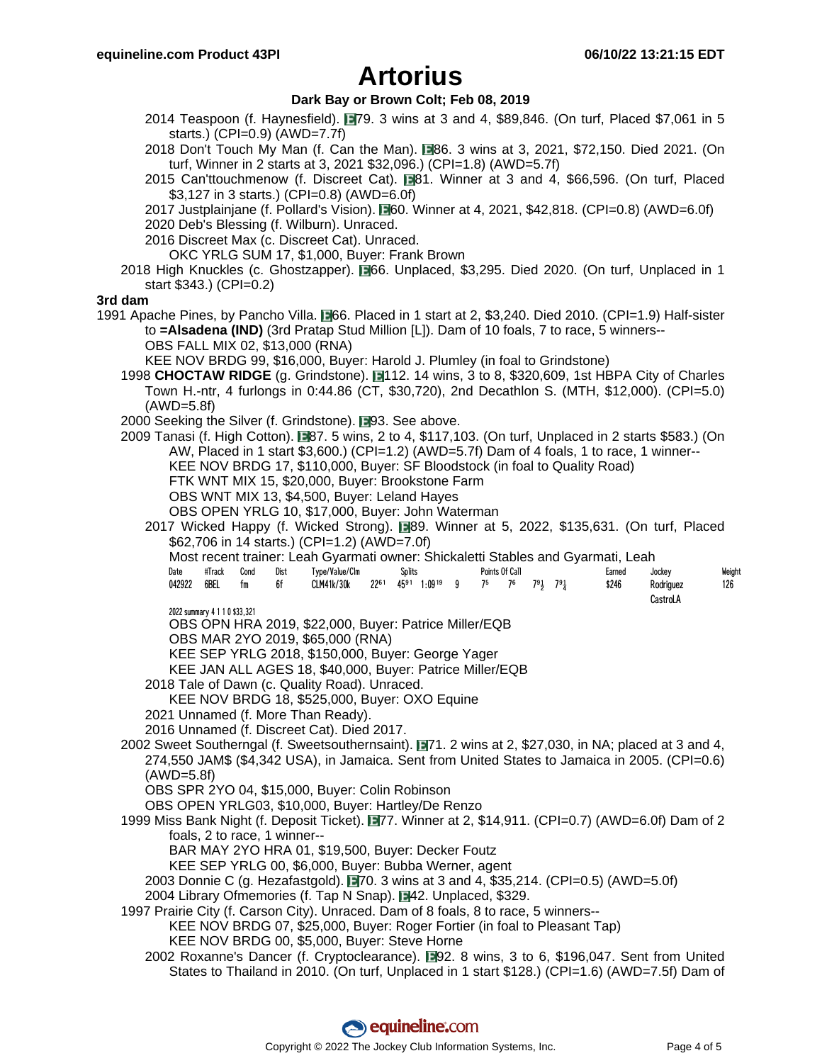### **Dark Bay or Brown Colt; Feb 08, 2019**

- 2014 Teaspoon (f. Haynesfield). **1979. 3 wins at 3 and 4, \$89,846.** (On turf, Placed \$7,061 in 5 starts.) (CPI=0.9) (AWD=7.7f)
- 2018 Don't Touch My Man (f. Can the Man). 86. 3 wins at 3, 2021, \$72,150. Died 2021. (On turf, Winner in 2 starts at 3, 2021 \$32,096.) (CPI=1.8) (AWD=5.7f)
- 2015 Can'ttouchmenow (f. Discreet Cat). 81. Winner at 3 and 4, \$66,596. (On turf, Placed \$3,127 in 3 starts.) (CPI=0.8) (AWD=6.0f)
- 2017 Justplainjane (f. Pollard's Vision).  $\Box$ 60. Winner at 4, 2021, \$42,818. (CPI=0.8) (AWD=6.0f)
- 2020 Deb's Blessing (f. Wilburn). Unraced.
- 2016 Discreet Max (c. Discreet Cat). Unraced.

OKC YRLG SUM 17, \$1,000, Buyer: Frank Brown

2018 High Knuckles (c. Ghostzapper). **1966. Unplaced, \$3,295. Died 2020. (On turf, Unplaced in 1** start \$343.) (CPI=0.2)

#### **3rd dam**

1991 Apache Pines, by Pancho Villa. **1966. Placed in 1 start at 2, \$3,240. Died 2010. (CPI=1.9) Half-sister** to **=Alsadena (IND)** (3rd Pratap Stud Million [L]). Dam of 10 foals, 7 to race, 5 winners-- OBS FALL MIX 02, \$13,000 (RNA)

KEE NOV BRDG 99, \$16,000, Buyer: Harold J. Plumley (in foal to Grindstone)

- 1998 **CHOCTAW RIDGE** (g. Grindstone). ■112. 14 wins, 3 to 8, \$320,609, 1st HBPA City of Charles Town H.-ntr, 4 furlongs in 0:44.86 (CT, \$30,720), 2nd Decathlon S. (MTH, \$12,000). (CPI=5.0) (AWD=5.8f)
- 2000 Seeking the Silver (f. Grindstone). 193. See above.
- 2009 Tanasi (f. High Cotton). 87. 5 wins, 2 to 4, \$117,103. (On turf, Unplaced in 2 starts \$583.) (On AW, Placed in 1 start \$3,600.) (CPI=1.2) (AWD=5.7f) Dam of 4 foals, 1 to race, 1 winner-- KEE NOV BRDG 17, \$110,000, Buyer: SF Bloodstock (in foal to Quality Road) FTK WNT MIX 15, \$20,000, Buyer: Brookstone Farm
	- OBS WNT MIX 13, \$4,500, Buyer: Leland Hayes

OBS OPEN YRLG 10, \$17,000, Buyer: John Waterman

- 2017 Wicked Happy (f. Wicked Strong).  $\Box$ 89. Winner at 5, 2022, \$135,631. (On turf, Placed \$62,706 in 14 starts.) (CPI=1.2) (AWD=7.0f)
	- Most recent trainer: Leah Gyarmati owner: Shickaletti Stables and Gyarmati, Leah

| Date   | #Track | Cond | Dist | Type/Value/Clm                                                                                                                                          | Splits | Points Of Call |  |  |  |  |  | Earned | Jockev    | Weight |
|--------|--------|------|------|---------------------------------------------------------------------------------------------------------------------------------------------------------|--------|----------------|--|--|--|--|--|--------|-----------|--------|
| 042922 | 6BEL   | fm   | 6f   | CLM41k/30k 22 <sup>61</sup> 45 <sup>91</sup> 1:09 <sup>19</sup> 9 7 <sup>5</sup> 7 <sup>6</sup> 7 <sup>9</sup> <sub>3</sub> 7 <sup>9</sup> <sub>4</sub> |        |                |  |  |  |  |  | \$246  | Rodriauez | 126    |
|        |        |      |      |                                                                                                                                                         |        |                |  |  |  |  |  |        | CastroLA  |        |

2022 summary 4 1 1 0 \$33,321

OBS OPN HRA 2019, \$22,000, Buyer: Patrice Miller/EQB

OBS MAR 2YO 2019, \$65,000 (RNA)

- KEE SEP YRLG 2018, \$150,000, Buyer: George Yager
- KEE JAN ALL AGES 18, \$40,000, Buyer: Patrice Miller/EQB
- 2018 Tale of Dawn (c. Quality Road). Unraced.
	- KEE NOV BRDG 18, \$525,000, Buyer: OXO Equine
- 2021 Unnamed (f. More Than Ready).
- 2016 Unnamed (f. Discreet Cat). Died 2017.
- 2002 Sweet Southerngal (f. Sweetsouthernsaint). 771. 2 wins at 2, \$27,030, in NA; placed at 3 and 4, 274,550 JAM\$ (\$4,342 USA), in Jamaica. Sent from United States to Jamaica in 2005. (CPI=0.6) (AWD=5.8f)

OBS SPR 2YO 04, \$15,000, Buyer: Colin Robinson

OBS OPEN YRLG03, \$10,000, Buyer: Hartley/De Renzo

- 1999 Miss Bank Night (f. Deposit Ticket). 77. Winner at 2, \$14,911. (CPI=0.7) (AWD=6.0f) Dam of 2 foals, 2 to race, 1 winner--
	- BAR MAY 2YO HRA 01, \$19,500, Buyer: Decker Foutz
	- KEE SEP YRLG 00, \$6,000, Buyer: Bubba Werner, agent
	- 2003 Donnie C (g. Hezafastgold).  $\Box$ 70. 3 wins at 3 and 4, \$35,214. (CPI=0.5) (AWD=5.0f)
	- 2004 Library Ofmemories (f. Tap N Snap). **■**42. Unplaced, \$329.
- 1997 Prairie City (f. Carson City). Unraced. Dam of 8 foals, 8 to race, 5 winners--
	- KEE NOV BRDG 07, \$25,000, Buyer: Roger Fortier (in foal to Pleasant Tap) KEE NOV BRDG 00, \$5,000, Buyer: Steve Horne
	- 2002 Roxanne's Dancer (f. Cryptoclearance).  $\Box$ 92. 8 wins, 3 to 6, \$196,047. Sent from United States to Thailand in 2010. (On turf, Unplaced in 1 start \$128.) (CPI=1.6) (AWD=7.5f) Dam of